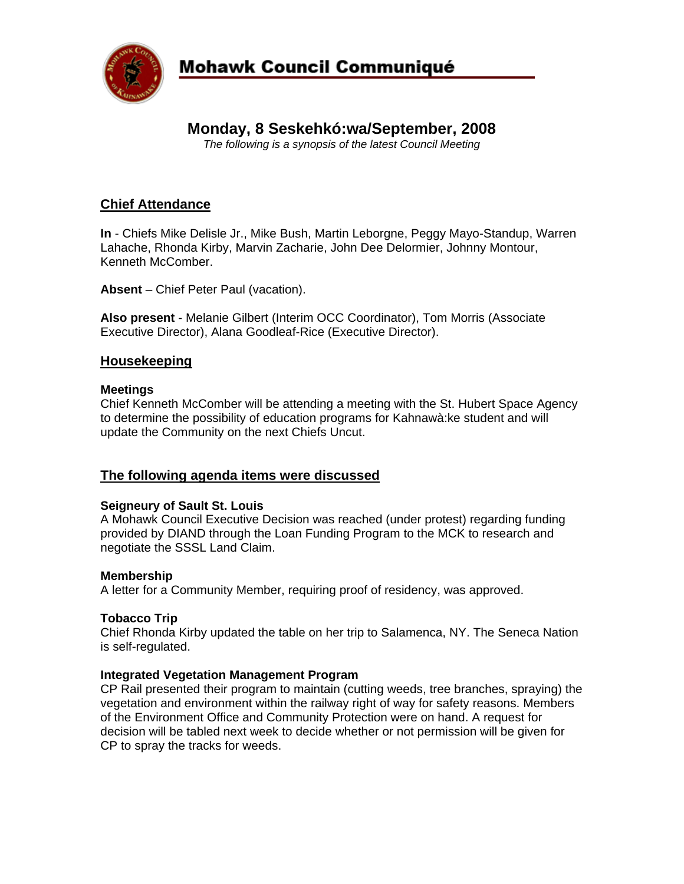

# **Mohawk Council Communiqué**

# **Monday, 8 Seskehkó:wa/September, 2008**

*The following is a synopsis of the latest Council Meeting* 

# **Chief Attendance**

**In** - Chiefs Mike Delisle Jr., Mike Bush, Martin Leborgne, Peggy Mayo-Standup, Warren Lahache, Rhonda Kirby, Marvin Zacharie, John Dee Delormier, Johnny Montour, Kenneth McComber.

**Absent** – Chief Peter Paul (vacation).

**Also present** - Melanie Gilbert (Interim OCC Coordinator), Tom Morris (Associate Executive Director), Alana Goodleaf-Rice (Executive Director).

## **Housekeeping**

#### **Meetings**

Chief Kenneth McComber will be attending a meeting with the St. Hubert Space Agency to determine the possibility of education programs for Kahnawà:ke student and will update the Community on the next Chiefs Uncut.

## **The following agenda items were discussed**

#### **Seigneury of Sault St. Louis**

A Mohawk Council Executive Decision was reached (under protest) regarding funding provided by DIAND through the Loan Funding Program to the MCK to research and negotiate the SSSL Land Claim.

#### **Membership**

A letter for a Community Member, requiring proof of residency, was approved.

#### **Tobacco Trip**

Chief Rhonda Kirby updated the table on her trip to Salamenca, NY. The Seneca Nation is self-regulated.

#### **Integrated Vegetation Management Program**

CP Rail presented their program to maintain (cutting weeds, tree branches, spraying) the vegetation and environment within the railway right of way for safety reasons. Members of the Environment Office and Community Protection were on hand. A request for decision will be tabled next week to decide whether or not permission will be given for CP to spray the tracks for weeds.